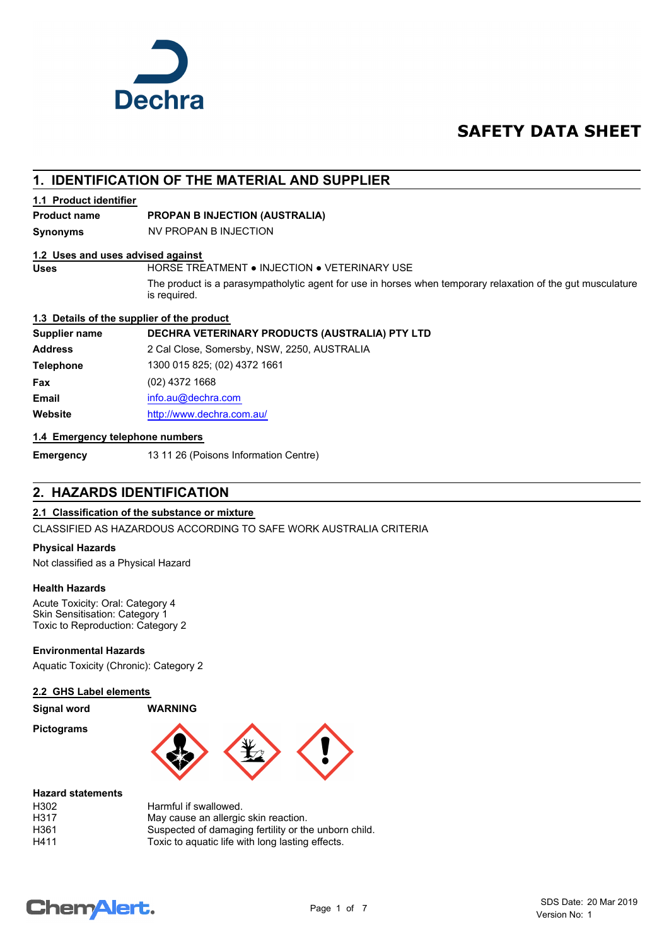

## **SAFETY DATA SHEET**

## **1. IDENTIFICATION OF THE MATERIAL AND SUPPLIER**

#### **1.1 Product identifier**

### **Product name PROPAN B INJECTION (AUSTRALIA)**

**Synonyms** NV PROPAN B INJECTION

#### **1.2 Uses and uses advised against**

**Uses** HORSE TREATMENT ● INJECTION ● VETERINARY USE

The product is a parasympatholytic agent for use in horses when temporary relaxation of the gut musculature is required.

#### **1.3 Details of the supplier of the product**

#### **Supplier name DECHRA VETERINARY PRODUCTS (AUSTRALIA) PTY LTD**

**Address** 2 Cal Close, Somersby, NSW, 2250, AUSTRALIA **Telephone** 1300 015 825; (02) 4372 1661 **Fax** (02) 4372 1668 **Email** [info.au@](mailto:info.au@dechra.com)dechra.com **Website** [http://www.](http://www.dechra.com.au/)dechra.com.au/

#### **1.4 Emergency telephone numbers**

**Emergency** 13 11 26 (Poisons Information Centre)

## **2. HAZARDS IDENTIFICATION**

#### **2.1 Classification of the substance or mixture**

CLASSIFIED AS HAZARDOUS ACCORDING TO SAFE WORK AUSTRALIA CRITERIA

#### **Physical Hazards**

Not classified as a Physical Hazard

#### **Health Hazards**

Acute Toxicity: Oral: Category 4 Skin Sensitisation: Category 1 Toxic to Reproduction: Category 2

**Environmental Hazards**

Aquatic Toxicity (Chronic): Category 2

#### **2.2 GHS Label elements**

#### **Signal word WARNING**

**Pictograms**



#### **Hazard statements**

| H302 | Harmful if swallowed.                                |
|------|------------------------------------------------------|
| H317 | May cause an allergic skin reaction.                 |
| H361 | Suspected of damaging fertility or the unborn child. |
| H411 | Toxic to aquatic life with long lasting effects.     |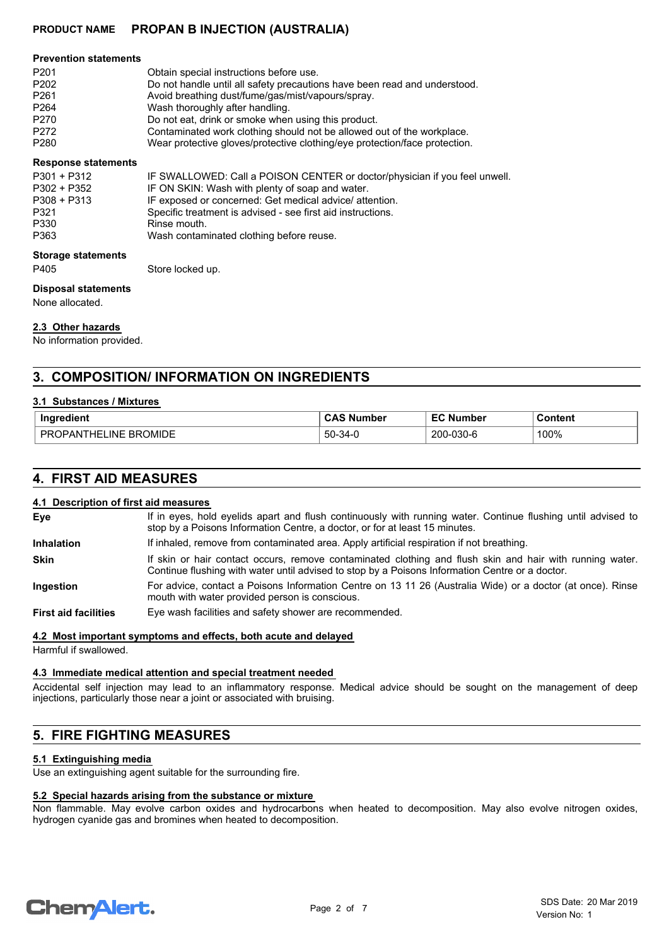| <b>Prevention statements</b> |                                                                            |
|------------------------------|----------------------------------------------------------------------------|
| P <sub>201</sub>             | Obtain special instructions before use.                                    |
| P <sub>202</sub>             | Do not handle until all safety precautions have been read and understood.  |
| P <sub>261</sub>             | Avoid breathing dust/fume/gas/mist/vapours/spray.                          |
| P <sub>264</sub>             | Wash thoroughly after handling.                                            |
| P270                         | Do not eat, drink or smoke when using this product.                        |
| P272                         | Contaminated work clothing should not be allowed out of the workplace.     |
| P <sub>280</sub>             | Wear protective gloves/protective clothing/eye protection/face protection. |

#### **Response statements**

| <b>Storage statements</b> |                                                                            |
|---------------------------|----------------------------------------------------------------------------|
| P363                      | Wash contaminated clothing before reuse.                                   |
| P330                      | Rinse mouth.                                                               |
| P321                      | Specific treatment is advised - see first aid instructions.                |
| P308 + P313               | IF exposed or concerned: Get medical advice/ attention.                    |
| P302 + P352               | IF ON SKIN: Wash with plenty of soap and water.                            |
| $P301 + P312$             | IF SWALLOWED: Call a POISON CENTER or doctor/physician if you feel unwell. |
|                           |                                                                            |

P405 Store locked up.

#### **Disposal statements**

None allocated.

#### **2.3 Other hazards**

No information provided.

## **3. COMPOSITION/ INFORMATION ON INGREDIENTS**

#### **3.1 Substances / Mixtures**

| Ingredient                                  | CAS<br>Number                                | c o<br><b>Number</b><br>-- | Content |
|---------------------------------------------|----------------------------------------------|----------------------------|---------|
| <b>BROMIDE</b><br>PR<br>INF<br>ΉFΙ<br>1 PAN | $50 -$<br>$\overline{\phantom{a}}$<br>ີ 34-. | 200-030-6                  | 100%    |

## **4. FIRST AID MEASURES**

#### **4.1 Description of first aid measures**

| Eye                         | If in eyes, hold eyelids apart and flush continuously with running water. Continue flushing until advised to<br>stop by a Poisons Information Centre, a doctor, or for at least 15 minutes.                 |
|-----------------------------|-------------------------------------------------------------------------------------------------------------------------------------------------------------------------------------------------------------|
| <b>Inhalation</b>           | If inhaled, remove from contaminated area. Apply artificial respiration if not breathing.                                                                                                                   |
| <b>Skin</b>                 | If skin or hair contact occurs, remove contaminated clothing and flush skin and hair with running water.<br>Continue flushing with water until advised to stop by a Poisons Information Centre or a doctor. |
| Ingestion                   | For advice, contact a Poisons Information Centre on 13 11 26 (Australia Wide) or a doctor (at once). Rinse<br>mouth with water provided person is conscious.                                                |
| <b>First aid facilities</b> | Eye wash facilities and safety shower are recommended.                                                                                                                                                      |

#### **4.2 Most important symptoms and effects, both acute and delayed**

Harmful if swallowed.

### **4.3 Immediate medical attention and special treatment needed**

Accidental self injection may lead to an inflammatory response. Medical advice should be sought on the management of deep injections, particularly those near a joint or associated with bruising.

## **5. FIRE FIGHTING MEASURES**

### **5.1 Extinguishing media**

Use an extinguishing agent suitable for the surrounding fire.

### **5.2 Special hazards arising from the substance or mixture**

Non flammable. May evolve carbon oxides and hydrocarbons when heated to decomposition. May also evolve nitrogen oxides, hydrogen cyanide gas and bromines when heated to decomposition.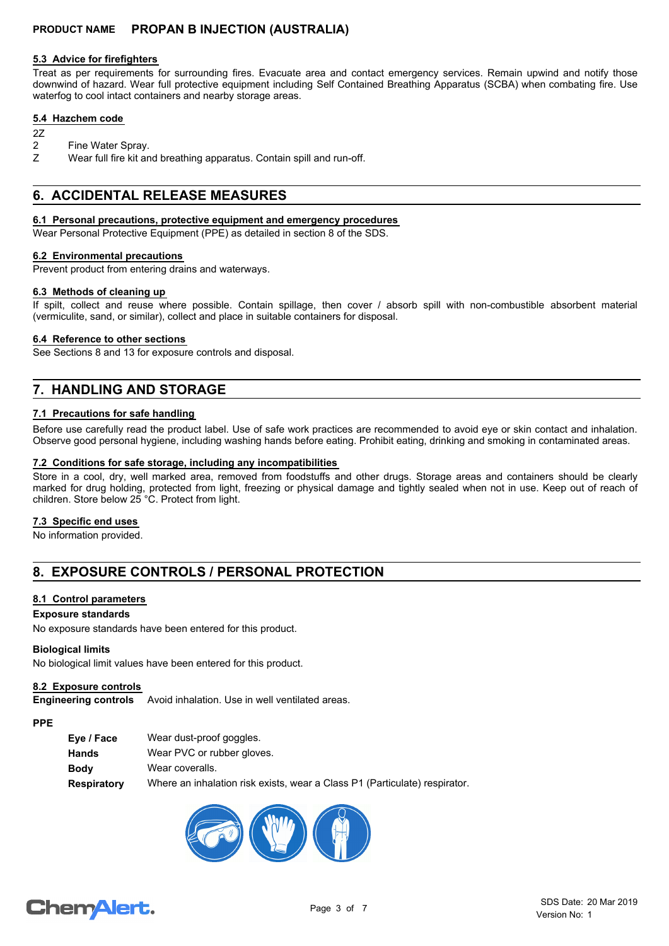#### **5.3 Advice for firefighters**

Treat as per requirements for surrounding fires. Evacuate area and contact emergency services. Remain upwind and notify those downwind of hazard. Wear full protective equipment including Self Contained Breathing Apparatus (SCBA) when combating fire. Use waterfog to cool intact containers and nearby storage areas.

#### **5.4 Hazchem code**

- 2Z
- 2 Fine Water Spray.
- Z Wear full fire kit and breathing apparatus. Contain spill and run-off.

## **6. ACCIDENTAL RELEASE MEASURES**

#### **6.1 Personal precautions, protective equipment and emergency procedures**

Wear Personal Protective Equipment (PPE) as detailed in section 8 of the SDS.

#### **6.2 Environmental precautions**

Prevent product from entering drains and waterways.

#### **6.3 Methods of cleaning up**

If spilt, collect and reuse where possible. Contain spillage, then cover / absorb spill with non-combustible absorbent material (vermiculite, sand, or similar), collect and place in suitable containers for disposal.

#### **6.4 Reference to other sections**

See Sections 8 and 13 for exposure controls and disposal.

## **7. HANDLING AND STORAGE**

#### **7.1 Precautions for safe handling**

Before use carefully read the product label. Use of safe work practices are recommended to avoid eye or skin contact and inhalation. Observe good personal hygiene, including washing hands before eating. Prohibit eating, drinking and smoking in contaminated areas.

#### **7.2 Conditions for safe storage, including any incompatibilities**

Store in a cool, dry, well marked area, removed from foodstuffs and other drugs. Storage areas and containers should be clearly marked for drug holding, protected from light, freezing or physical damage and tightly sealed when not in use. Keep out of reach of children. Store below 25 °C. Protect from light.

#### **7.3 Specific end uses**

No information provided.

## **8. EXPOSURE CONTROLS / PERSONAL PROTECTION**

#### **8.1 Control parameters**

#### **Exposure standards**

No exposure standards have been entered for this product.

#### **Biological limits**

No biological limit values have been entered for this product.

#### **8.2 Exposure controls**

**Engineering controls** Avoid inhalation. Use in well ventilated areas.

#### **PPE**

| Eye / Face  | Wear dust-proof goggles.                                                   |
|-------------|----------------------------------------------------------------------------|
| Hands       | Wear PVC or rubber gloves.                                                 |
| <b>Body</b> | Wear coveralls.                                                            |
| Respiratory | Where an inhalation risk exists, wear a Class P1 (Particulate) respirator. |

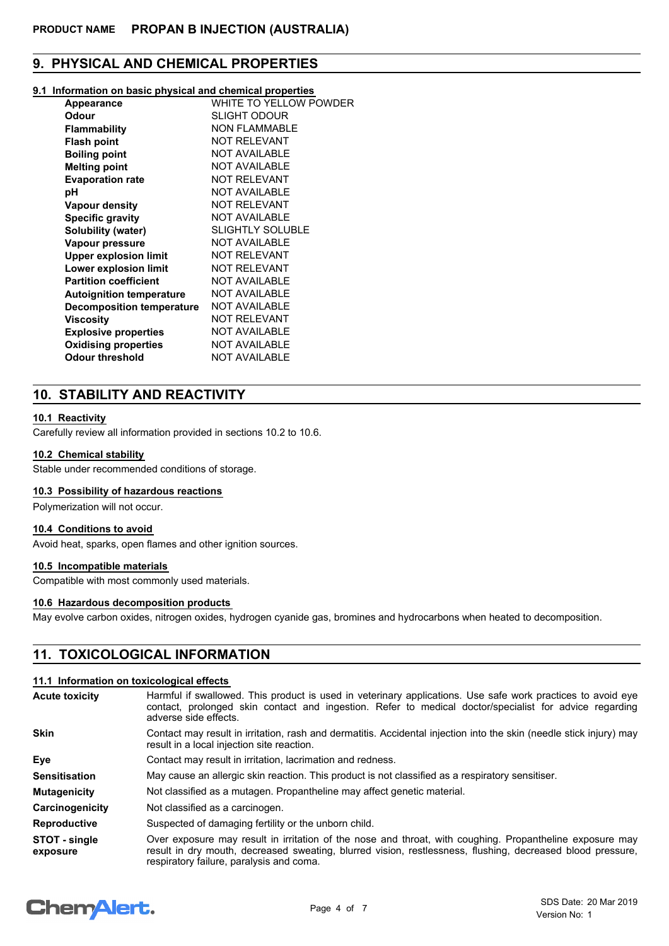## **9. PHYSICAL AND CHEMICAL PROPERTIES**

#### **9.1 Information on basic physical and chemical properties**

| Appearance                      | WHITE TO YELLOW POWDER  |
|---------------------------------|-------------------------|
| Odour                           | SLIGHT ODOUR            |
| <b>Flammability</b>             | <b>NON FLAMMABLE</b>    |
| <b>Flash point</b>              | <b>NOT RELEVANT</b>     |
| <b>Boiling point</b>            | <b>NOT AVAILABLE</b>    |
| <b>Melting point</b>            | <b>NOT AVAILABLE</b>    |
| <b>Evaporation rate</b>         | <b>NOT RELEVANT</b>     |
| рH                              | <b>NOT AVAILABLE</b>    |
| <b>Vapour density</b>           | <b>NOT RELEVANT</b>     |
| <b>Specific gravity</b>         | <b>NOT AVAILABLE</b>    |
| Solubility (water)              | <b>SLIGHTLY SOLUBLE</b> |
| Vapour pressure                 | <b>NOT AVAILABLE</b>    |
| <b>Upper explosion limit</b>    | <b>NOT RELEVANT</b>     |
| Lower explosion limit           | <b>NOT RELEVANT</b>     |
| <b>Partition coefficient</b>    | <b>NOT AVAILABLE</b>    |
| <b>Autoignition temperature</b> | <b>NOT AVAILABLE</b>    |
| Decomposition temperature       | <b>NOT AVAILABLE</b>    |
| Viscosity                       | <b>NOT RELEVANT</b>     |
| <b>Explosive properties</b>     | <b>NOT AVAILABLE</b>    |
| <b>Oxidising properties</b>     | <b>NOT AVAILABLE</b>    |
| <b>Odour threshold</b>          | <b>NOT AVAILABLE</b>    |
|                                 |                         |

## **10. STABILITY AND REACTIVITY**

#### **10.1 Reactivity**

Carefully review all information provided in sections 10.2 to 10.6.

#### **10.2 Chemical stability**

Stable under recommended conditions of storage.

#### **10.3 Possibility of hazardous reactions**

Polymerization will not occur.

#### **10.4 Conditions to avoid**

Avoid heat, sparks, open flames and other ignition sources.

#### **10.5 Incompatible materials**

Compatible with most commonly used materials.

#### **10.6 Hazardous decomposition products**

May evolve carbon oxides, nitrogen oxides, hydrogen cyanide gas, bromines and hydrocarbons when heated to decomposition.

## **11. TOXICOLOGICAL INFORMATION**

#### **11.1 Information on toxicological effects**

| <b>Acute toxicity</b>     | Harmful if swallowed. This product is used in veterinary applications. Use safe work practices to avoid eye<br>contact, prolonged skin contact and ingestion. Refer to medical doctor/specialist for advice regarding<br>adverse side effects.                     |  |  |
|---------------------------|--------------------------------------------------------------------------------------------------------------------------------------------------------------------------------------------------------------------------------------------------------------------|--|--|
| <b>Skin</b>               | Contact may result in irritation, rash and dermatitis. Accidental injection into the skin (needle stick injury) may<br>result in a local injection site reaction.                                                                                                  |  |  |
| Eye                       | Contact may result in irritation, lacrimation and redness.                                                                                                                                                                                                         |  |  |
| <b>Sensitisation</b>      | May cause an allergic skin reaction. This product is not classified as a respiratory sensitiser.                                                                                                                                                                   |  |  |
| <b>Mutagenicity</b>       | Not classified as a mutagen. Propantheline may affect genetic material.                                                                                                                                                                                            |  |  |
| Carcinogenicity           | Not classified as a carcinogen.                                                                                                                                                                                                                                    |  |  |
| <b>Reproductive</b>       | Suspected of damaging fertility or the unborn child.                                                                                                                                                                                                               |  |  |
| STOT - single<br>exposure | Over exposure may result in irritation of the nose and throat, with coughing. Propantheline exposure may<br>result in dry mouth, decreased sweating, blurred vision, restlessness, flushing, decreased blood pressure,<br>respiratory failure, paralysis and coma. |  |  |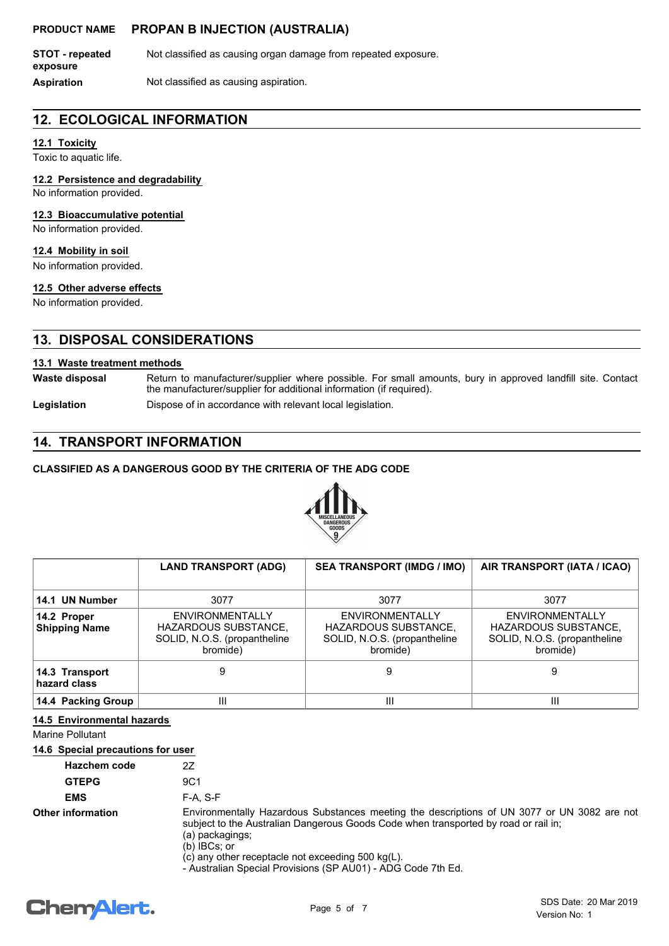**STOT - repeated** Not classified as causing organ damage from repeated exposure. **exposure**

**Aspiration** Not classified as causing aspiration.

## **12. ECOLOGICAL INFORMATION**

## **12.1 Toxicity**

Toxic to aquatic life.

#### **12.2 Persistence and degradability**

No information provided.

#### **12.3 Bioaccumulative potential**

No information provided.

#### **12.4 Mobility in soil**

No information provided.

#### **12.5 Other adverse effects**

No information provided.

## **13. DISPOSAL CONSIDERATIONS**

#### **13.1 Waste treatment methods**

Return to manufacturer/supplier where possible. For small amounts, bury in approved landfill site. Contact the manufacturer/supplier for additional information (if required). **Waste disposal**

Legislation **Dispose of in accordance with relevant local legislation.** 

## **14. TRANSPORT INFORMATION**

#### **CLASSIFIED AS A DANGEROUS GOOD BY THE CRITERIA OF THE ADG CODE**



|                                     | <b>LAND TRANSPORT (ADG)</b>                                                                | <b>SEA TRANSPORT (IMDG / IMO)</b>                                                          | AIR TRANSPORT (IATA / ICAO)                                                         |
|-------------------------------------|--------------------------------------------------------------------------------------------|--------------------------------------------------------------------------------------------|-------------------------------------------------------------------------------------|
| 14.1 UN Number                      | 3077                                                                                       | 3077                                                                                       | 3077                                                                                |
| 14.2 Proper<br><b>Shipping Name</b> | <b>ENVIRONMENTALLY</b><br>HAZARDOUS SUBSTANCE,<br>SOLID, N.O.S. (propantheline<br>bromide) | <b>ENVIRONMENTALLY</b><br>HAZARDOUS SUBSTANCE,<br>SOLID, N.O.S. (propantheline<br>bromide) | ENVIRONMENTALLY<br>HAZARDOUS SUBSTANCE,<br>SOLID, N.O.S. (propantheline<br>bromide) |
| 14.3 Transport<br>hazard class      | 9                                                                                          | 9                                                                                          | 9                                                                                   |
| 14.4 Packing Group                  | Ш                                                                                          | Ш                                                                                          | Ш                                                                                   |

#### **14.5 Environmental hazards**

Marine Pollutant

#### **14.6 Special precautions for user**

| Hazchem code             | 27              |
|--------------------------|-----------------|
| <b>GTEPG</b>             | 9C <sub>1</sub> |
| <b>EMS</b>               | F-A. S-F        |
| <b>Other information</b> | Environme<br>.  |

entally Hazardous Substances meeting the descriptions of UN 3077 or UN 3082 are not subject to the Australian Dangerous Goods Code when transported by road or rail in; (a) packagings;

(b) IBCs; or

(c) any other receptacle not exceeding 500 kg(L).

- Australian Special Provisions (SP AU01) - ADG Code 7th Ed.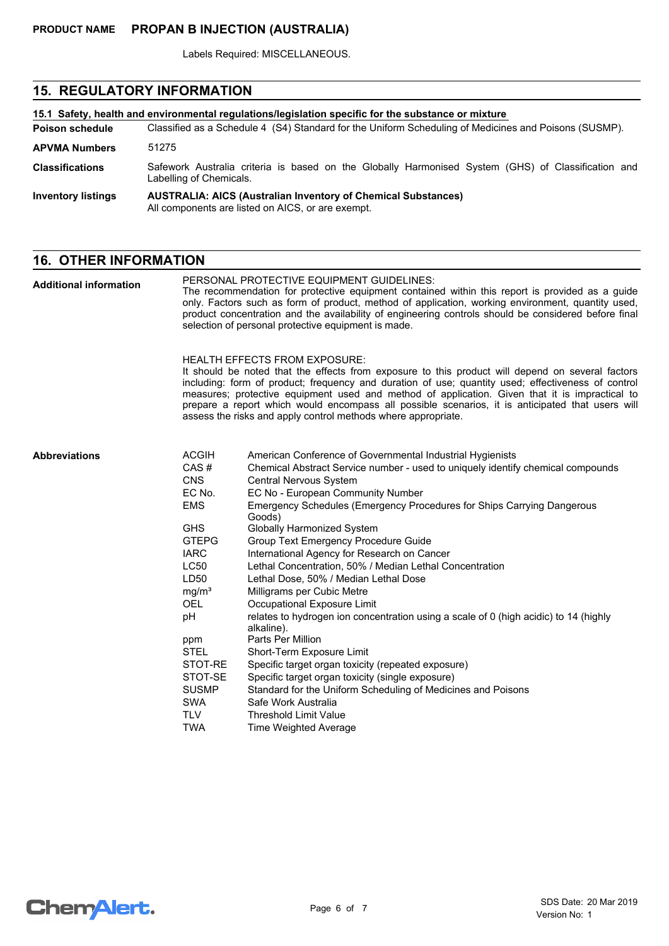Labels Required: MISCELLANEOUS.

## **15. REGULATORY INFORMATION**

| 15.1 Safety, health and environmental requiations/legislation specific for the substance or mixture |                                                                                                                               |  |
|-----------------------------------------------------------------------------------------------------|-------------------------------------------------------------------------------------------------------------------------------|--|
| <b>Poison schedule</b>                                                                              | Classified as a Schedule 4 (S4) Standard for the Uniform Scheduling of Medicines and Poisons (SUSMP).                         |  |
| <b>APVMA Numbers</b>                                                                                | 51275                                                                                                                         |  |
| <b>Classifications</b>                                                                              | Safework Australia criteria is based on the Globally Harmonised System (GHS) of Classification and<br>Labelling of Chemicals. |  |
| <b>Inventory listings</b>                                                                           | <b>AUSTRALIA: AICS (Australian Inventory of Chemical Substances)</b><br>All components are listed on AICS, or are exempt.     |  |

## **16. OTHER INFORMATION**

| <b>Additional information</b> | PERSONAL PROTECTIVE EQUIPMENT GUIDELINES:<br>The recommendation for protective equipment contained within this report is provided as a guide<br>only. Factors such as form of product, method of application, working environment, quantity used,<br>product concentration and the availability of engineering controls should be considered before final<br>selection of personal protective equipment is made. |                                                                                                                                                                                                                                                                                                                                                                                                                                                                                                                                                                                                                                                                                                                                                                                                                                                                                                                                                                                                                |  |
|-------------------------------|------------------------------------------------------------------------------------------------------------------------------------------------------------------------------------------------------------------------------------------------------------------------------------------------------------------------------------------------------------------------------------------------------------------|----------------------------------------------------------------------------------------------------------------------------------------------------------------------------------------------------------------------------------------------------------------------------------------------------------------------------------------------------------------------------------------------------------------------------------------------------------------------------------------------------------------------------------------------------------------------------------------------------------------------------------------------------------------------------------------------------------------------------------------------------------------------------------------------------------------------------------------------------------------------------------------------------------------------------------------------------------------------------------------------------------------|--|
|                               |                                                                                                                                                                                                                                                                                                                                                                                                                  | <b>HEALTH EFFECTS FROM EXPOSURE:</b><br>It should be noted that the effects from exposure to this product will depend on several factors<br>including: form of product; frequency and duration of use; quantity used; effectiveness of control<br>measures; protective equipment used and method of application. Given that it is impractical to<br>prepare a report which would encompass all possible scenarios, it is anticipated that users will<br>assess the risks and apply control methods where appropriate.                                                                                                                                                                                                                                                                                                                                                                                                                                                                                          |  |
| <b>Abbreviations</b>          | <b>ACGIH</b><br>CAS#<br><b>CNS</b><br>EC No.<br><b>EMS</b><br><b>GHS</b><br><b>GTEPG</b><br><b>IARC</b><br><b>LC50</b><br>LD50<br>mg/m <sup>3</sup><br><b>OEL</b><br>pH<br>ppm<br><b>STEL</b><br>STOT-RE<br>STOT-SE<br><b>SUSMP</b><br><b>SWA</b><br><b>TLV</b><br><b>TWA</b>                                                                                                                                    | American Conference of Governmental Industrial Hygienists<br>Chemical Abstract Service number - used to uniquely identify chemical compounds<br>Central Nervous System<br>EC No - European Community Number<br>Emergency Schedules (Emergency Procedures for Ships Carrying Dangerous<br>Goods)<br><b>Globally Harmonized System</b><br>Group Text Emergency Procedure Guide<br>International Agency for Research on Cancer<br>Lethal Concentration, 50% / Median Lethal Concentration<br>Lethal Dose, 50% / Median Lethal Dose<br>Milligrams per Cubic Metre<br>Occupational Exposure Limit<br>relates to hydrogen ion concentration using a scale of 0 (high acidic) to 14 (highly<br>alkaline).<br>Parts Per Million<br>Short-Term Exposure Limit<br>Specific target organ toxicity (repeated exposure)<br>Specific target organ toxicity (single exposure)<br>Standard for the Uniform Scheduling of Medicines and Poisons<br>Safe Work Australia<br><b>Threshold Limit Value</b><br>Time Weighted Average |  |